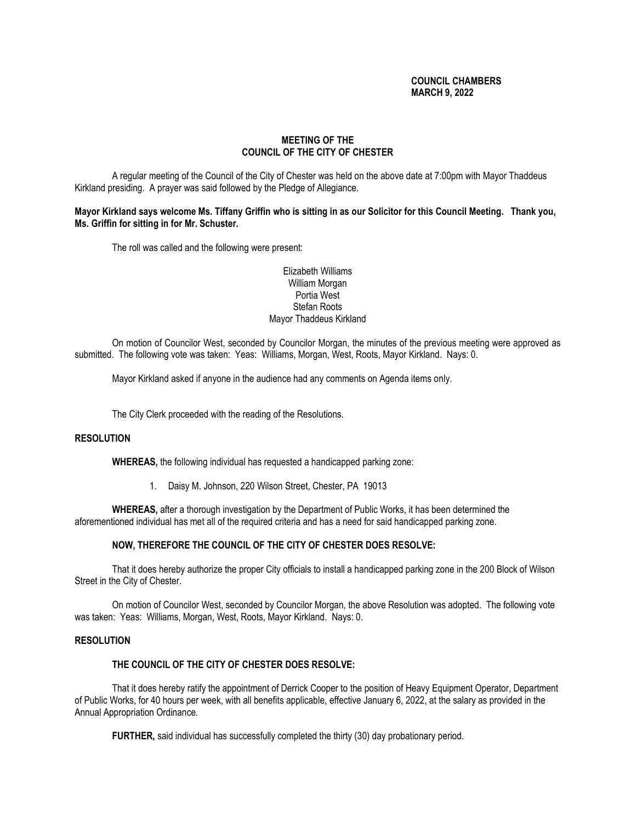# **COUNCIL CHAMBERS MARCH 9, 2022**

# **MEETING OF THE COUNCIL OF THE CITY OF CHESTER**

A regular meeting of the Council of the City of Chester was held on the above date at 7:00pm with Mayor Thaddeus Kirkland presiding. A prayer was said followed by the Pledge of Allegiance.

**Mayor Kirkland says welcome Ms. Tiffany Griffin who is sitting in as our Solicitor for this Council Meeting. Thank you, Ms. Griffin for sitting in for Mr. Schuster.**

The roll was called and the following were present:

## Elizabeth Williams William Morgan Portia West Stefan Roots Mayor Thaddeus Kirkland

On motion of Councilor West, seconded by Councilor Morgan, the minutes of the previous meeting were approved as submitted. The following vote was taken: Yeas: Williams, Morgan, West, Roots, Mayor Kirkland. Nays: 0.

Mayor Kirkland asked if anyone in the audience had any comments on Agenda items only.

The City Clerk proceeded with the reading of the Resolutions.

### **RESOLUTION**

**WHEREAS,** the following individual has requested a handicapped parking zone:

1. Daisy M. Johnson, 220 Wilson Street, Chester, PA 19013

**WHEREAS,** after a thorough investigation by the Department of Public Works, it has been determined the aforementioned individual has met all of the required criteria and has a need for said handicapped parking zone.

### **NOW, THEREFORE THE COUNCIL OF THE CITY OF CHESTER DOES RESOLVE:**

That it does hereby authorize the proper City officials to install a handicapped parking zone in the 200 Block of Wilson Street in the City of Chester.

On motion of Councilor West, seconded by Councilor Morgan, the above Resolution was adopted. The following vote was taken: Yeas: Williams, Morgan, West, Roots, Mayor Kirkland. Nays: 0.

#### **RESOLUTION**

# **THE COUNCIL OF THE CITY OF CHESTER DOES RESOLVE:**

That it does hereby ratify the appointment of Derrick Cooper to the position of Heavy Equipment Operator, Department of Public Works, for 40 hours per week, with all benefits applicable, effective January 6, 2022, at the salary as provided in the Annual Appropriation Ordinance.

**FURTHER,** said individual has successfully completed the thirty (30) day probationary period.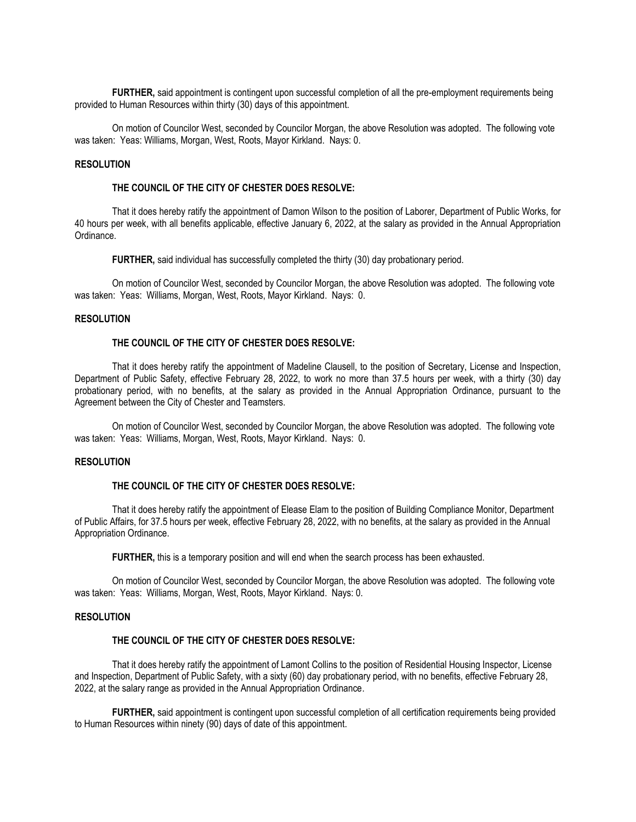**FURTHER,** said appointment is contingent upon successful completion of all the pre-employment requirements being provided to Human Resources within thirty (30) days of this appointment.

On motion of Councilor West, seconded by Councilor Morgan, the above Resolution was adopted. The following vote was taken: Yeas: Williams, Morgan, West, Roots, Mayor Kirkland. Nays: 0.

#### **RESOLUTION**

## **THE COUNCIL OF THE CITY OF CHESTER DOES RESOLVE:**

That it does hereby ratify the appointment of Damon Wilson to the position of Laborer, Department of Public Works, for 40 hours per week, with all benefits applicable, effective January 6, 2022, at the salary as provided in the Annual Appropriation Ordinance.

**FURTHER,** said individual has successfully completed the thirty (30) day probationary period.

On motion of Councilor West, seconded by Councilor Morgan, the above Resolution was adopted. The following vote was taken: Yeas: Williams, Morgan, West, Roots, Mayor Kirkland. Nays: 0.

#### **RESOLUTION**

# **THE COUNCIL OF THE CITY OF CHESTER DOES RESOLVE:**

That it does hereby ratify the appointment of Madeline Clausell, to the position of Secretary, License and Inspection, Department of Public Safety, effective February 28, 2022, to work no more than 37.5 hours per week, with a thirty (30) day probationary period, with no benefits, at the salary as provided in the Annual Appropriation Ordinance, pursuant to the Agreement between the City of Chester and Teamsters.

On motion of Councilor West, seconded by Councilor Morgan, the above Resolution was adopted. The following vote was taken: Yeas: Williams, Morgan, West, Roots, Mayor Kirkland. Nays: 0.

## **RESOLUTION**

## **THE COUNCIL OF THE CITY OF CHESTER DOES RESOLVE:**

That it does hereby ratify the appointment of Elease Elam to the position of Building Compliance Monitor, Department of Public Affairs, for 37.5 hours per week, effective February 28, 2022, with no benefits, at the salary as provided in the Annual Appropriation Ordinance.

**FURTHER,** this is a temporary position and will end when the search process has been exhausted.

On motion of Councilor West, seconded by Councilor Morgan, the above Resolution was adopted. The following vote was taken: Yeas: Williams, Morgan, West, Roots, Mayor Kirkland. Nays: 0.

### **RESOLUTION**

## **THE COUNCIL OF THE CITY OF CHESTER DOES RESOLVE:**

That it does hereby ratify the appointment of Lamont Collins to the position of Residential Housing Inspector, License and Inspection, Department of Public Safety, with a sixty (60) day probationary period, with no benefits, effective February 28, 2022, at the salary range as provided in the Annual Appropriation Ordinance.

**FURTHER,** said appointment is contingent upon successful completion of all certification requirements being provided to Human Resources within ninety (90) days of date of this appointment.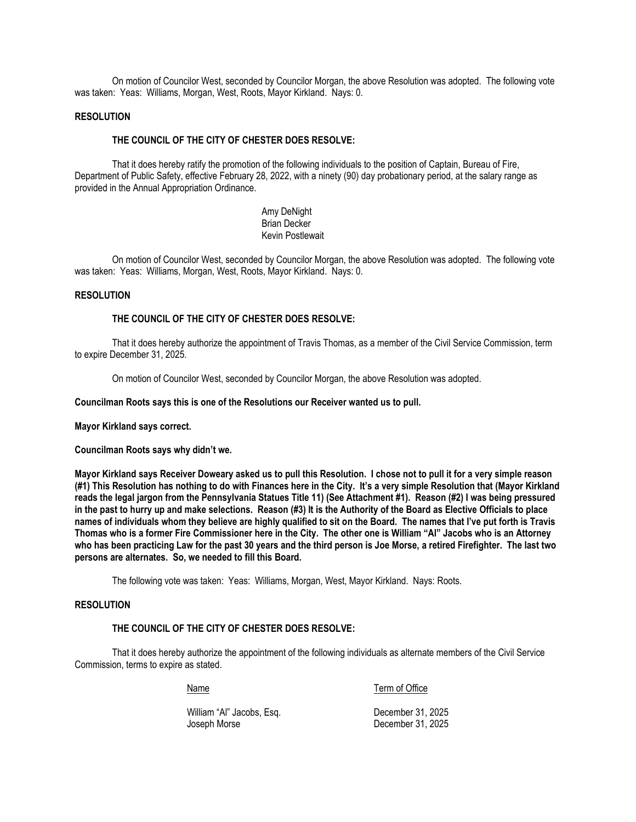On motion of Councilor West, seconded by Councilor Morgan, the above Resolution was adopted. The following vote was taken: Yeas: Williams, Morgan, West, Roots, Mayor Kirkland. Nays: 0.

### **RESOLUTION**

### **THE COUNCIL OF THE CITY OF CHESTER DOES RESOLVE:**

That it does hereby ratify the promotion of the following individuals to the position of Captain, Bureau of Fire, Department of Public Safety, effective February 28, 2022, with a ninety (90) day probationary period, at the salary range as provided in the Annual Appropriation Ordinance.

> Amy DeNight Brian Decker Kevin Postlewait

On motion of Councilor West, seconded by Councilor Morgan, the above Resolution was adopted. The following vote was taken: Yeas: Williams, Morgan, West, Roots, Mayor Kirkland. Nays: 0.

#### **RESOLUTION**

#### **THE COUNCIL OF THE CITY OF CHESTER DOES RESOLVE:**

That it does hereby authorize the appointment of Travis Thomas, as a member of the Civil Service Commission, term to expire December 31, 2025.

On motion of Councilor West, seconded by Councilor Morgan, the above Resolution was adopted.

#### **Councilman Roots says this is one of the Resolutions our Receiver wanted us to pull.**

**Mayor Kirkland says correct.**

**Councilman Roots says why didn't we.**

**Mayor Kirkland says Receiver Doweary asked us to pull this Resolution. I chose not to pull it for a very simple reason (#1) This Resolution has nothing to do with Finances here in the City. It's a very simple Resolution that (Mayor Kirkland reads the legal jargon from the Pennsylvania Statues Title 11) (See Attachment #1). Reason (#2) I was being pressured in the past to hurry up and make selections. Reason (#3) It is the Authority of the Board as Elective Officials to place names of individuals whom they believe are highly qualified to sit on the Board. The names that I've put forth is Travis Thomas who is a former Fire Commissioner here in the City. The other one is William "Al" Jacobs who is an Attorney who has been practicing Law for the past 30 years and the third person is Joe Morse, a retired Firefighter. The last two persons are alternates. So, we needed to fill this Board.**

The following vote was taken: Yeas: Williams, Morgan, West, Mayor Kirkland. Nays: Roots.

### **RESOLUTION**

## **THE COUNCIL OF THE CITY OF CHESTER DOES RESOLVE:**

That it does hereby authorize the appointment of the following individuals as alternate members of the Civil Service Commission, terms to expire as stated.

Name Term of Office

William "Al" Jacobs, Esq. No. 1998. Compared to December 31, 2025 Joseph Morse **December 31, 2025**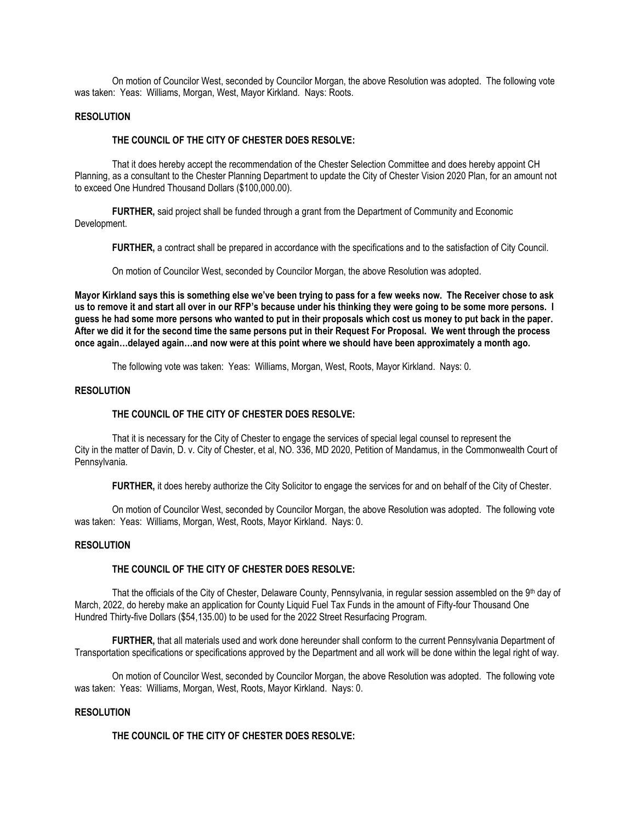On motion of Councilor West, seconded by Councilor Morgan, the above Resolution was adopted. The following vote was taken: Yeas: Williams, Morgan, West, Mayor Kirkland. Nays: Roots.

### **RESOLUTION**

### **THE COUNCIL OF THE CITY OF CHESTER DOES RESOLVE:**

That it does hereby accept the recommendation of the Chester Selection Committee and does hereby appoint CH Planning, as a consultant to the Chester Planning Department to update the City of Chester Vision 2020 Plan, for an amount not to exceed One Hundred Thousand Dollars (\$100,000.00).

**FURTHER,** said project shall be funded through a grant from the Department of Community and Economic Development.

**FURTHER,** a contract shall be prepared in accordance with the specifications and to the satisfaction of City Council.

On motion of Councilor West, seconded by Councilor Morgan, the above Resolution was adopted.

**Mayor Kirkland says this is something else we've been trying to pass for a few weeks now. The Receiver chose to ask us to remove it and start all over in our RFP's because under his thinking they were going to be some more persons. I guess he had some more persons who wanted to put in their proposals which cost us money to put back in the paper. After we did it for the second time the same persons put in their Request For Proposal. We went through the process once again…delayed again…and now were at this point where we should have been approximately a month ago.** 

The following vote was taken: Yeas: Williams, Morgan, West, Roots, Mayor Kirkland. Nays: 0.

## **RESOLUTION**

### **THE COUNCIL OF THE CITY OF CHESTER DOES RESOLVE:**

That it is necessary for the City of Chester to engage the services of special legal counsel to represent the City in the matter of Davin, D. v. City of Chester, et al, NO. 336, MD 2020, Petition of Mandamus, in the Commonwealth Court of Pennsylvania.

**FURTHER,** it does hereby authorize the City Solicitor to engage the services for and on behalf of the City of Chester.

On motion of Councilor West, seconded by Councilor Morgan, the above Resolution was adopted. The following vote was taken: Yeas: Williams, Morgan, West, Roots, Mayor Kirkland. Nays: 0.

### **RESOLUTION**

### **THE COUNCIL OF THE CITY OF CHESTER DOES RESOLVE:**

That the officials of the City of Chester, Delaware County, Pennsylvania, in regular session assembled on the 9th day of March, 2022, do hereby make an application for County Liquid Fuel Tax Funds in the amount of Fifty-four Thousand One Hundred Thirty-five Dollars (\$54,135.00) to be used for the 2022 Street Resurfacing Program.

**FURTHER,** that all materials used and work done hereunder shall conform to the current Pennsylvania Department of Transportation specifications or specifications approved by the Department and all work will be done within the legal right of way.

On motion of Councilor West, seconded by Councilor Morgan, the above Resolution was adopted. The following vote was taken: Yeas: Williams, Morgan, West, Roots, Mayor Kirkland. Nays: 0.

### **RESOLUTION**

**THE COUNCIL OF THE CITY OF CHESTER DOES RESOLVE:**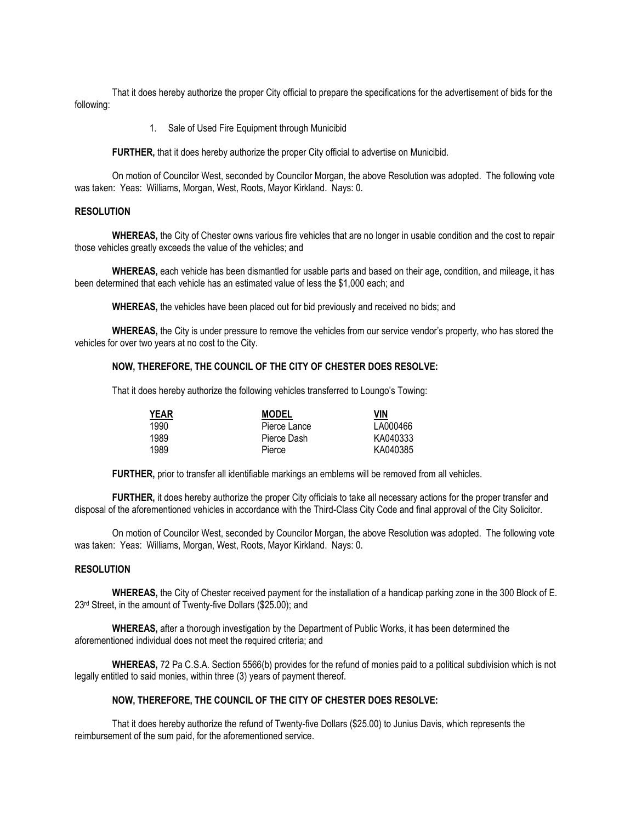That it does hereby authorize the proper City official to prepare the specifications for the advertisement of bids for the following:

1. Sale of Used Fire Equipment through Municibid

FURTHER, that it does hereby authorize the proper City official to advertise on Municibid.

On motion of Councilor West, seconded by Councilor Morgan, the above Resolution was adopted. The following vote was taken: Yeas: Williams, Morgan, West, Roots, Mayor Kirkland. Nays: 0.

# **RESOLUTION**

**WHEREAS,** the City of Chester owns various fire vehicles that are no longer in usable condition and the cost to repair those vehicles greatly exceeds the value of the vehicles; and

**WHEREAS,** each vehicle has been dismantled for usable parts and based on their age, condition, and mileage, it has been determined that each vehicle has an estimated value of less the \$1,000 each; and

**WHEREAS,** the vehicles have been placed out for bid previously and received no bids; and

**WHEREAS,** the City is under pressure to remove the vehicles from our service vendor's property, who has stored the vehicles for over two years at no cost to the City.

### **NOW, THEREFORE, THE COUNCIL OF THE CITY OF CHESTER DOES RESOLVE:**

That it does hereby authorize the following vehicles transferred to Loungo's Towing:

| YEAR | <b>MODEL</b> | VIN      |
|------|--------------|----------|
| 1990 | Pierce Lance | LA000466 |
| 1989 | Pierce Dash  | KA040333 |
| 1989 | Pierce       | KA040385 |

**FURTHER,** prior to transfer all identifiable markings an emblems will be removed from all vehicles.

**FURTHER,** it does hereby authorize the proper City officials to take all necessary actions for the proper transfer and disposal of the aforementioned vehicles in accordance with the Third-Class City Code and final approval of the City Solicitor.

On motion of Councilor West, seconded by Councilor Morgan, the above Resolution was adopted. The following vote was taken: Yeas: Williams, Morgan, West, Roots, Mayor Kirkland. Nays: 0.

### **RESOLUTION**

**WHEREAS,** the City of Chester received payment for the installation of a handicap parking zone in the 300 Block of E. 23rd Street, in the amount of Twenty-five Dollars (\$25.00); and

**WHEREAS,** after a thorough investigation by the Department of Public Works, it has been determined the aforementioned individual does not meet the required criteria; and

**WHEREAS,** 72 Pa C.S.A. Section 5566(b) provides for the refund of monies paid to a political subdivision which is not legally entitled to said monies, within three (3) years of payment thereof.

### **NOW, THEREFORE, THE COUNCIL OF THE CITY OF CHESTER DOES RESOLVE:**

That it does hereby authorize the refund of Twenty-five Dollars (\$25.00) to Junius Davis, which represents the reimbursement of the sum paid, for the aforementioned service.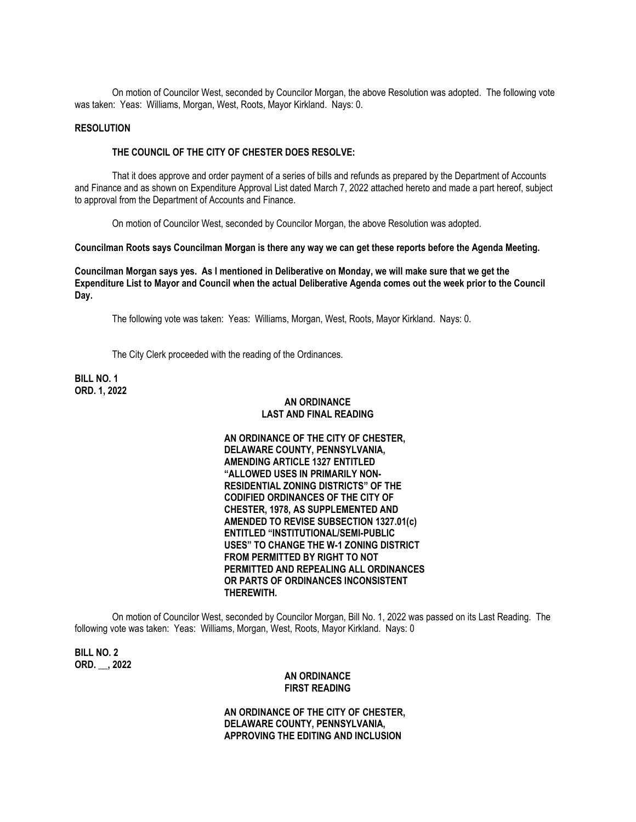On motion of Councilor West, seconded by Councilor Morgan, the above Resolution was adopted. The following vote was taken: Yeas: Williams, Morgan, West, Roots, Mayor Kirkland. Nays: 0.

### **RESOLUTION**

#### **THE COUNCIL OF THE CITY OF CHESTER DOES RESOLVE:**

That it does approve and order payment of a series of bills and refunds as prepared by the Department of Accounts and Finance and as shown on Expenditure Approval List dated March 7, 2022 attached hereto and made a part hereof, subject to approval from the Department of Accounts and Finance.

On motion of Councilor West, seconded by Councilor Morgan, the above Resolution was adopted.

**Councilman Roots says Councilman Morgan is there any way we can get these reports before the Agenda Meeting.**

**Councilman Morgan says yes. As I mentioned in Deliberative on Monday, we will make sure that we get the Expenditure List to Mayor and Council when the actual Deliberative Agenda comes out the week prior to the Council Day.** 

The following vote was taken: Yeas: Williams, Morgan, West, Roots, Mayor Kirkland. Nays: 0.

The City Clerk proceeded with the reading of the Ordinances.

**BILL NO. 1 ORD. 1, 2022**

### **AN ORDINANCE LAST AND FINAL READING**

**AN ORDINANCE OF THE CITY OF CHESTER, DELAWARE COUNTY, PENNSYLVANIA, AMENDING ARTICLE 1327 ENTITLED "ALLOWED USES IN PRIMARILY NON-RESIDENTIAL ZONING DISTRICTS" OF THE CODIFIED ORDINANCES OF THE CITY OF CHESTER, 1978, AS SUPPLEMENTED AND AMENDED TO REVISE SUBSECTION 1327.01(c) ENTITLED "INSTITUTIONAL/SEMI-PUBLIC USES" TO CHANGE THE W-1 ZONING DISTRICT FROM PERMITTED BY RIGHT TO NOT PERMITTED AND REPEALING ALL ORDINANCES OR PARTS OF ORDINANCES INCONSISTENT THEREWITH.**

On motion of Councilor West, seconded by Councilor Morgan, Bill No. 1, 2022 was passed on its Last Reading. The following vote was taken: Yeas: Williams, Morgan, West, Roots, Mayor Kirkland. Nays: 0

**BILL NO. 2 ORD. \_\_, 2022**

## **AN ORDINANCE FIRST READING**

**AN ORDINANCE OF THE CITY OF CHESTER, DELAWARE COUNTY, PENNSYLVANIA, APPROVING THE EDITING AND INCLUSION**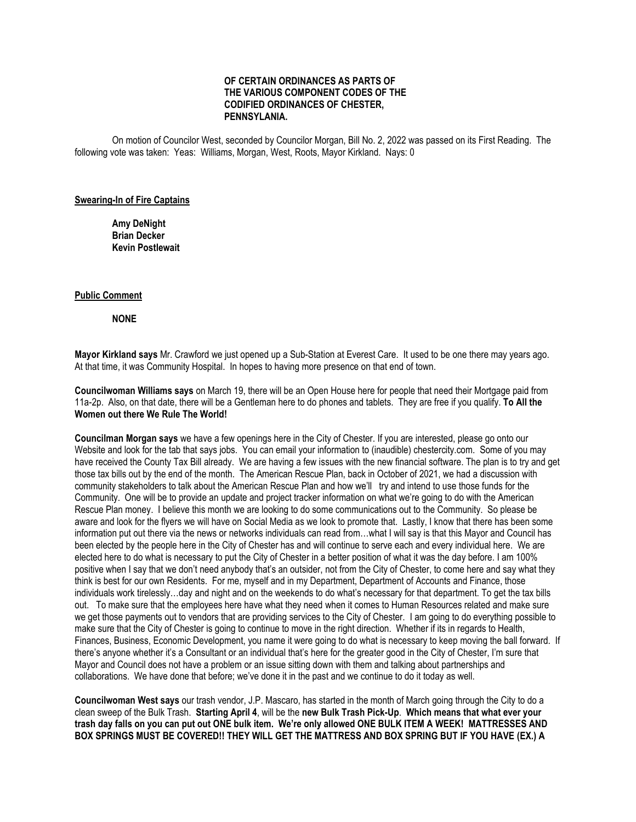## **OF CERTAIN ORDINANCES AS PARTS OF THE VARIOUS COMPONENT CODES OF THE CODIFIED ORDINANCES OF CHESTER, PENNSYLANIA.**

On motion of Councilor West, seconded by Councilor Morgan, Bill No. 2, 2022 was passed on its First Reading. The following vote was taken: Yeas: Williams, Morgan, West, Roots, Mayor Kirkland. Nays: 0

#### **Swearing-In of Fire Captains**

**Amy DeNight Brian Decker Kevin Postlewait**

#### **Public Comment**

**NONE**

**Mayor Kirkland says** Mr. Crawford we just opened up a Sub-Station at Everest Care. It used to be one there may years ago. At that time, it was Community Hospital. In hopes to having more presence on that end of town.

**Councilwoman Williams says** on March 19, there will be an Open House here for people that need their Mortgage paid from 11a-2p. Also, on that date, there will be a Gentleman here to do phones and tablets. They are free if you qualify. **To All the Women out there We Rule The World!**

**Councilman Morgan says** we have a few openings here in the City of Chester. If you are interested, please go onto our Website and look for the tab that says jobs. You can email your information to (inaudible) chestercity.com. Some of you may have received the County Tax Bill already. We are having a few issues with the new financial software. The plan is to try and get those tax bills out by the end of the month. The American Rescue Plan, back in October of 2021, we had a discussion with community stakeholders to talk about the American Rescue Plan and how we'll try and intend to use those funds for the Community. One will be to provide an update and project tracker information on what we're going to do with the American Rescue Plan money. I believe this month we are looking to do some communications out to the Community. So please be aware and look for the flyers we will have on Social Media as we look to promote that. Lastly, I know that there has been some information put out there via the news or networks individuals can read from…what I will say is that this Mayor and Council has been elected by the people here in the City of Chester has and will continue to serve each and every individual here. We are elected here to do what is necessary to put the City of Chester in a better position of what it was the day before. I am 100% positive when I say that we don't need anybody that's an outsider, not from the City of Chester, to come here and say what they think is best for our own Residents. For me, myself and in my Department, Department of Accounts and Finance, those individuals work tirelessly…day and night and on the weekends to do what's necessary for that department. To get the tax bills out. To make sure that the employees here have what they need when it comes to Human Resources related and make sure we get those payments out to vendors that are providing services to the City of Chester. I am going to do everything possible to make sure that the City of Chester is going to continue to move in the right direction. Whether if its in regards to Health, Finances, Business, Economic Development, you name it were going to do what is necessary to keep moving the ball forward. If there's anyone whether it's a Consultant or an individual that's here for the greater good in the City of Chester, I'm sure that Mayor and Council does not have a problem or an issue sitting down with them and talking about partnerships and collaborations. We have done that before; we've done it in the past and we continue to do it today as well.

**Councilwoman West says** our trash vendor, J.P. Mascaro, has started in the month of March going through the City to do a clean sweep of the Bulk Trash. **Starting April 4**, will be the **new Bulk Trash Pick-Up**. **Which means that what ever your trash day falls on you can put out ONE bulk item. We're only allowed ONE BULK ITEM A WEEK! MATTRESSES AND BOX SPRINGS MUST BE COVERED!! THEY WILL GET THE MATTRESS AND BOX SPRING BUT IF YOU HAVE (EX.) A**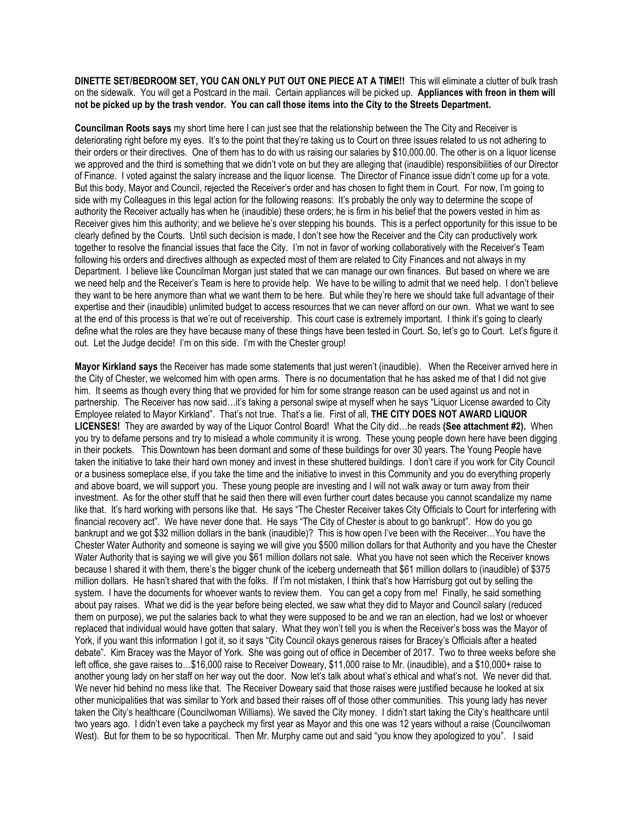**DINETTE SET/BEDROOM SET, YOU CAN ONLY PUT OUT ONE PIECE AT A TIME!!** This will eliminate a clutter of bulk trash on the sidewalk. You will get a Postcard in the mail. Certain appliances will be picked up. **Appliances with freon in them will not be picked up by the trash vendor. You can call those items into the City to the Streets Department.**

**Councilman Roots says** my short time here I can just see that the relationship between the The City and Receiver is deteriorating right before my eyes. It's to the point that they're taking us to Court on three issues related to us not adhering to their orders or their directives. One of them has to do with us raising our salaries by \$10,000.00. The other is on a liquor license we approved and the third is something that we didn't vote on but they are alleging that (inaudible) responsibilities of our Director of Finance. I voted against the salary increase and the liquor license. The Director of Finance issue didn't come up for a vote. But this body, Mayor and Council, rejected the Receiver's order and has chosen to fight them in Court. For now, I'm going to side with my Colleagues in this legal action for the following reasons: It's probably the only way to determine the scope of authority the Receiver actually has when he (inaudible) these orders; he is firm in his belief that the powers vested in him as Receiver gives him this authority; and we believe he's over stepping his bounds. This is a perfect opportunity for this issue to be clearly defined by the Courts. Until such decision is made, I don't see how the Receiver and the City can productively work together to resolve the financial issues that face the City. I'm not in favor of working collaboratively with the Receiver's Team following his orders and directives although as expected most of them are related to City Finances and not always in my Department. I believe like Councilman Morgan just stated that we can manage our own finances. But based on where we are we need help and the Receiver's Team is here to provide help. We have to be willing to admit that we need help. I don't believe they want to be here anymore than what we want them to be here. But while they're here we should take full advantage of their expertise and their (inaudible) unlimited budget to access resources that we can never afford on our own. What we want to see at the end of this process is that we're out of receivership. This court case is extremely important. I think it's going to clearly define what the roles are they have because many of these things have been tested in Court. So, let's go to Court. Let's figure it out. Let the Judge decide! I'm on this side. I'm with the Chester group!

**Mayor Kirkland says** the Receiver has made some statements that just weren't (inaudible). When the Receiver arrived here in the City of Chester, we welcomed him with open arms. There is no documentation that he has asked me of that I did not give him. It seems as though every thing that we provided for him for some strange reason can be used against us and not in partnership. The Receiver has now said…it's taking a personal swipe at myself when he says "Liquor License awarded to City Employee related to Mayor Kirkland". That's not true. That's a lie. First of all, **THE CITY DOES NOT AWARD LIQUOR LICENSES!** They are awarded by way of the Liquor Control Board! What the City did…he reads **(See attachment #2).** When you try to defame persons and try to mislead a whole community it is wrong. These young people down here have been digging in their pockets. This Downtown has been dormant and some of these buildings for over 30 years. The Young People have taken the initiative to take their hard own money and invest in these shuttered buildings. I don't care if you work for City Council or a business someplace else, if you take the time and the initiative to invest in this Community and you do everything properly and above board, we will support you. These young people are investing and I will not walk away or turn away from their investment. As for the other stuff that he said then there will even further court dates because you cannot scandalize my name like that. It's hard working with persons like that. He says "The Chester Receiver takes City Officials to Court for interfering with financial recovery act". We have never done that. He says "The City of Chester is about to go bankrupt". How do you go bankrupt and we got \$32 million dollars in the bank (inaudible)? This is how open I've been with the Receiver...You have the Chester Water Authority and someone is saying we will give you \$500 million dollars for that Authority and you have the Chester Water Authority that is saying we will give you \$61 million dollars not sale. What you have not seen which the Receiver knows because I shared it with them, there's the bigger chunk of the iceberg underneath that \$61 million dollars to (inaudible) of \$375 million dollars. He hasn't shared that with the folks. If I'm not mistaken, I think that's how Harrisburg got out by selling the system. I have the documents for whoever wants to review them. You can get a copy from me! Finally, he said something about pay raises. What we did is the year before being elected, we saw what they did to Mayor and Council salary (reduced them on purpose), we put the salaries back to what they were supposed to be and we ran an election, had we lost or whoever replaced that individual would have gotten that salary. What they won't tell you is when the Receiver's boss was the Mayor of York, if you want this information I got it, so it says "City Council okays generous raises for Bracey's Officials after a heated debate". Kim Bracey was the Mayor of York. She was going out of office in December of 2017. Two to three weeks before she left office, she gave raises to…\$16,000 raise to Receiver Doweary, \$11,000 raise to Mr. (inaudible), and a \$10,000+ raise to another young lady on her staff on her way out the door. Now let's talk about what's ethical and what's not. We never did that. We never hid behind no mess like that. The Receiver Doweary said that those raises were justified because he looked at six other municipalities that was similar to York and based their raises off of those other communities. This young lady has never taken the City's healthcare (Councilwoman Williams). We saved the City money. I didn't start taking the City's healthcare until two years ago. I didn't even take a paycheck my first year as Mayor and this one was 12 years without a raise (Councilwoman West). But for them to be so hypocritical. Then Mr. Murphy came out and said "you know they apologized to you". I said